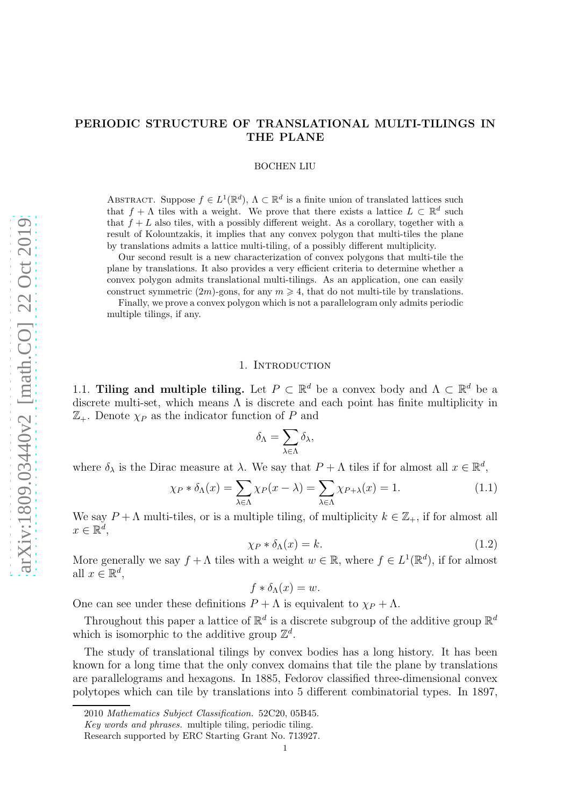# PERIODIC STRUCTURE OF TRANSLATIONAL MULTI-TILINGS IN THE PLANE

BOCHEN LIU

ABSTRACT. Suppose  $f \in L^1(\mathbb{R}^d)$ ,  $\Lambda \subset \mathbb{R}^d$  is a finite union of translated lattices such that  $f + \Lambda$  tiles with a weight. We prove that there exists a lattice  $L \subset \mathbb{R}^d$  such that  $f + L$  also tiles, with a possibly different weight. As a corollary, together with a result of Kolountzakis, it implies that any convex polygon that multi-tiles the plane by translations admits a lattice multi-tiling, of a possibly different multiplicity.

Our second result is a new characterization of convex polygons that multi-tile the plane by translations. It also provides a very efficient criteria to determine whether a convex polygon admits translational multi-tilings. As an application, one can easily construct symmetric  $(2m)$ -gons, for any  $m \geq 4$ , that do not multi-tile by translations.

Finally, we prove a convex polygon which is not a parallelogram only admits periodic multiple tilings, if any.

### 1. INTRODUCTION

1.1. Tiling and multiple tiling. Let  $P \subset \mathbb{R}^d$  be a convex body and  $\Lambda \subset \mathbb{R}^d$  be a discrete multi-set, which means  $\Lambda$  is discrete and each point has finite multiplicity in  $\mathbb{Z}_+$ . Denote  $\chi_P$  as the indicator function of P and

$$
\delta_\Lambda = \sum_{\lambda \in \Lambda} \delta_\lambda,
$$

where  $\delta_{\lambda}$  is the Dirac measure at  $\lambda$ . We say that  $P + \Lambda$  tiles if for almost all  $x \in \mathbb{R}^d$ ,

$$
\chi_P * \delta_\Lambda(x) = \sum_{\lambda \in \Lambda} \chi_P(x - \lambda) = \sum_{\lambda \in \Lambda} \chi_{P + \lambda}(x) = 1.
$$
 (1.1)

We say  $P + \Lambda$  multi-tiles, or is a multiple tiling, of multiplicity  $k \in \mathbb{Z}_+$ , if for almost all  $x \in \mathbb{R}^d$ ,

$$
\chi_P * \delta_\Lambda(x) = k. \tag{1.2}
$$

More generally we say  $f + \Lambda$  tiles with a weight  $w \in \mathbb{R}$ , where  $f \in L^1(\mathbb{R}^d)$ , if for almost all  $x \in \mathbb{R}^d$ ,

$$
f * \delta_{\Lambda}(x) = w.
$$

One can see under these definitions  $P + \Lambda$  is equivalent to  $\chi_P + \Lambda$ .

Throughout this paper a lattice of  $\mathbb{R}^d$  is a discrete subgroup of the additive group  $\mathbb{R}^d$ which is isomorphic to the additive group  $\mathbb{Z}^d$ .

The study of translational tilings by convex bodies has a long history. It has been known for a long time that the only convex domains that tile the plane by translations are parallelograms and hexagons. In 1885, Fedorov classified three-dimensional convex polytopes which can tile by translations into 5 different combinatorial types. In 1897,

<sup>2010</sup> *Mathematics Subject Classification.* 52C20, 05B45.

*Key words and phrases.* multiple tiling, periodic tiling.

Research supported by ERC Starting Grant No. 713927.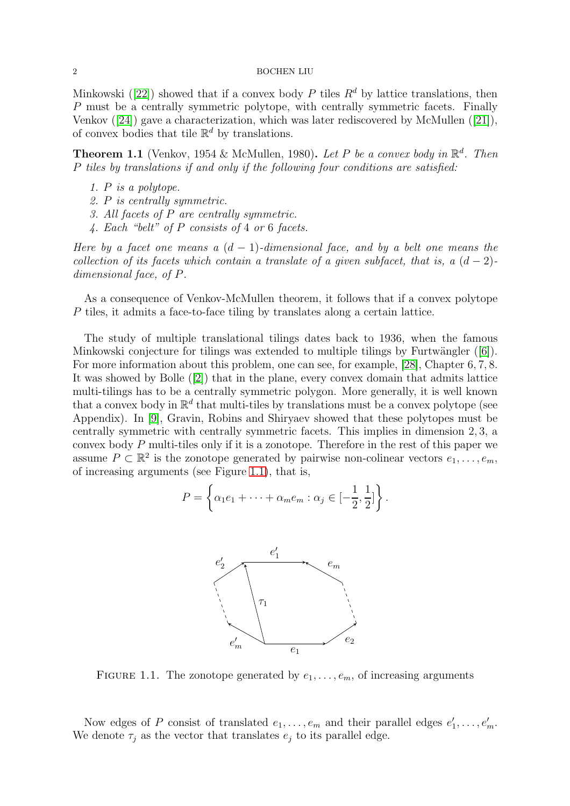Minkowski([\[22\]](#page-17-0)) showed that if a convex body P tiles  $R^d$  by lattice translations, then P must be a centrally symmetric polytope, with centrally symmetric facets. Finally Venkov([\[24\]](#page-17-1)) gave a characterization, which was later rediscovered by McMullen([\[21\]](#page-17-2)), of convex bodies that tile  $\mathbb{R}^d$  by translations.

**Theorem 1.1** (Venkov, 1954 & McMullen, 1980). Let P be a convex body in  $\mathbb{R}^d$ . Then P tiles by translations if and only if the following four conditions are satisfied:

- 1. P is a polytope.
- 2. P is centrally symmetric.
- 3. All facets of P are centrally symmetric.
- 4. Each "belt" of P consists of 4 or 6 facets.

Here by a facet one means a  $(d-1)$ -dimensional face, and by a belt one means the collection of its facets which contain a translate of a given subfacet, that is, a  $(d-2)$ dimensional face, of P.

As a consequence of Venkov-McMullen theorem, it follows that if a convex polytope P tiles, it admits a face-to-face tiling by translates along a certain lattice.

The study of multiple translational tilings dates back to 1936, when the famous Minkowskiconjecture for tilings was extended to multiple tilings by Furtwängler  $([6])$  $([6])$  $([6])$ . For more information about this problem, one can see, for example, [\[28\]](#page-17-3), Chapter 6, 7, 8. It was showed by Bolle([\[2\]](#page-16-1)) that in the plane, every convex domain that admits lattice multi-tilings has to be a centrally symmetric polygon. More generally, it is well known that a convex body in  $\mathbb{R}^d$  that multi-tiles by translations must be a convex polytope (see Appendix). In [\[9\]](#page-17-4), Gravin, Robins and Shiryaev showed that these polytopes must be centrally symmetric with centrally symmetric facets. This implies in dimension 2, 3, a convex body P multi-tiles only if it is a zonotope. Therefore in the rest of this paper we assume  $P \subset \mathbb{R}^2$  is the zonotope generated by pairwise non-colinear vectors  $e_1, \ldots, e_m$ , of increasing arguments (see Figure [1.1\)](#page-1-0), that is,

<span id="page-1-0"></span>
$$
P = \left\{ \alpha_1 e_1 + \dots + \alpha_m e_m : \alpha_j \in \left[ -\frac{1}{2}, \frac{1}{2} \right] \right\}.
$$



FIGURE 1.1. The zonotope generated by  $e_1, \ldots, e_m$ , of increasing arguments

Now edges of P consist of translated  $e_1, \ldots, e_m$  and their parallel edges  $e'_1, \ldots, e'_m$ . We denote  $\tau_i$  as the vector that translates  $e_i$  to its parallel edge.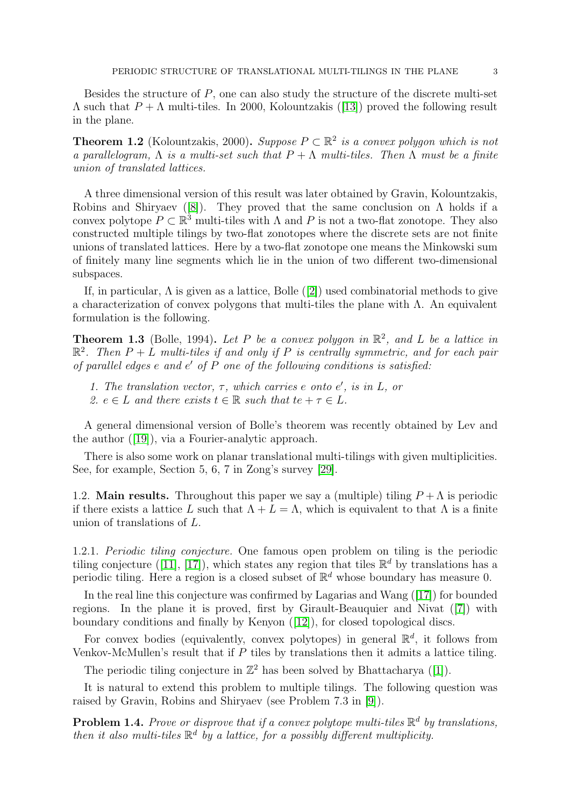Besides the structure of P, one can also study the structure of the discrete multi-set  $\Lambda$ such that  $P + \Lambda$  multi-tiles. In 2000, Kolountzakis ([\[13\]](#page-17-5)) proved the following result in the plane.

<span id="page-2-1"></span>**Theorem 1.2** (Kolountzakis, 2000). Suppose  $P \subset \mathbb{R}^2$  is a convex polygon which is not a parallelogram,  $\Lambda$  is a multi-set such that  $P + \Lambda$  multi-tiles. Then  $\Lambda$  must be a finite union of translated lattices.

A three dimensional version of this result was later obtained by Gravin, Kolountzakis, Robinsand Shiryaev ([\[8\]](#page-17-6)). They proved that the same conclusion on  $\Lambda$  holds if a convex polytope  $P \subset \mathbb{R}^3$  multi-tiles with  $\Lambda$  and  $P$  is not a two-flat zonotope. They also constructed multiple tilings by two-flat zonotopes where the discrete sets are not finite unions of translated lattices. Here by a two-flat zonotope one means the Minkowski sum of finitely many line segments which lie in the union of two different two-dimensional subspaces.

If,in particular,  $\Lambda$  is given as a lattice, Bolle ([\[2\]](#page-16-1)) used combinatorial methods to give a characterization of convex polygons that multi-tiles the plane with  $\Lambda$ . An equivalent formulation is the following.

<span id="page-2-2"></span>**Theorem 1.3** (Bolle, 1994). Let P be a convex polygon in  $\mathbb{R}^2$ , and L be a lattice in  $\mathbb{R}^2$ . Then  $P+L$  multi-tiles if and only if P is centrally symmetric, and for each pair of parallel edges e and e ′ of P one of the following conditions is satisfied:

- 1. The translation vector,  $\tau$ , which carries e onto  $e'$ , is in  $L$ , or
- 2.  $e \in L$  and there exists  $t \in \mathbb{R}$  such that  $te + \tau \in L$ .

A general dimensional version of Bolle's theorem was recently obtained by Lev and the author([\[19\]](#page-17-7)), via a Fourier-analytic approach.

There is also some work on planar translational multi-tilings with given multiplicities. See, for example, Section 5, 6, 7 in Zong's survey [\[29\]](#page-17-8).

1.2. **Main results.** Throughout this paper we say a (multiple) tiling  $P + \Lambda$  is periodic if there exists a lattice L such that  $\Lambda + L = \Lambda$ , which is equivalent to that  $\Lambda$  is a finite union of translations of L.

1.2.1. Periodic tiling conjecture. One famous open problem on tiling is the periodic tilingconjecture ([\[11\]](#page-17-9), [\[17\]](#page-17-10)), which states any region that tiles  $\mathbb{R}^d$  by translations has a periodic tiling. Here a region is a closed subset of  $\mathbb{R}^d$  whose boundary has measure 0.

In the real line this conjecture was confirmed by Lagarias and Wang ([\[17\]](#page-17-10)) for bounded regions. In the plane it is proved, first by Girault-Beauquier and Nivat([\[7\]](#page-17-11)) with boundary conditions and finally by Kenyon([\[12\]](#page-17-12)), for closed topological discs.

For convex bodies (equivalently, convex polytopes) in general  $\mathbb{R}^d$ , it follows from Venkov-McMullen's result that if  $P$  tiles by translations then it admits a lattice tiling.

Theperiodic tiling conjecture in  $\mathbb{Z}^2$  has been solved by Bhattacharya ([\[1\]](#page-16-2)).

It is natural to extend this problem to multiple tilings. The following question was raised by Gravin, Robins and Shiryaev (see Problem 7.3 in [\[9\]](#page-17-4)).

<span id="page-2-0"></span>**Problem 1.4.** Prove or disprove that if a convex polytope multi-tiles  $\mathbb{R}^d$  by translations, then it also multi-tiles  $\mathbb{R}^d$  by a lattice, for a possibly different multiplicity.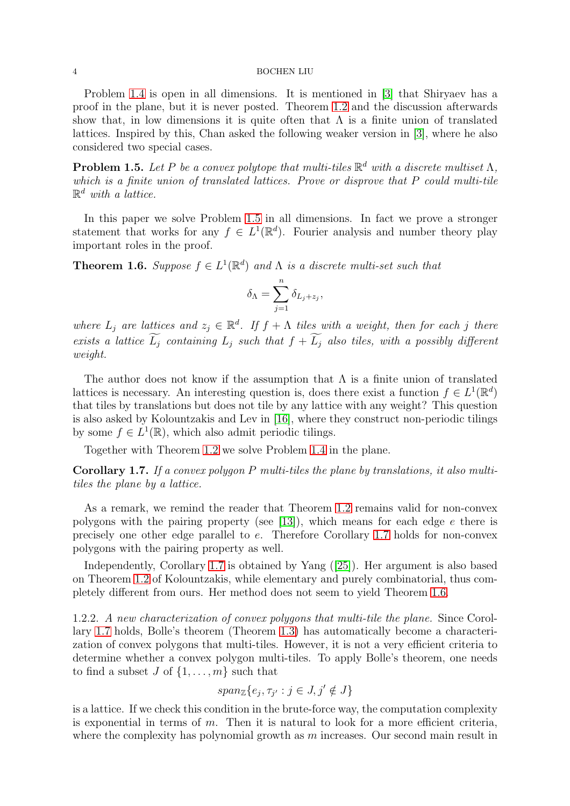Problem [1.4](#page-2-0) is open in all dimensions. It is mentioned in [\[3\]](#page-16-3) that Shiryaev has a proof in the plane, but it is never posted. Theorem [1.2](#page-2-1) and the discussion afterwards show that, in low dimensions it is quite often that  $\Lambda$  is a finite union of translated lattices. Inspired by this, Chan asked the following weaker version in [\[3\]](#page-16-3), where he also considered two special cases.

<span id="page-3-0"></span>**Problem 1.5.** Let P be a convex polytope that multi-tiles  $\mathbb{R}^d$  with a discrete multiset  $\Lambda$ , which is a finite union of translated lattices. Prove or disprove that P could multi-tile  $\mathbb{R}^d$  with a lattice.

In this paper we solve Problem [1.5](#page-3-0) in all dimensions. In fact we prove a stronger statement that works for any  $f \in L^1(\mathbb{R}^d)$ . Fourier analysis and number theory play important roles in the proof.

<span id="page-3-2"></span>**Theorem 1.6.** Suppose  $f \in L^1(\mathbb{R}^d)$  and  $\Lambda$  is a discrete multi-set such that

$$
\delta_{\Lambda} = \sum_{j=1}^{n} \delta_{L_j + z_j},
$$

where  $L_j$  are lattices and  $z_j \in \mathbb{R}^d$ . If  $f + \Lambda$  tiles with a weight, then for each j there exists a lattice  $\widetilde{L_j}$  containing  $L_j$  such that  $f + \widetilde{L_j}$  also tiles, with a possibly different weight.

The author does not know if the assumption that  $\Lambda$  is a finite union of translated lattices is necessary. An interesting question is, does there exist a function  $f \in L^1(\mathbb{R}^d)$ that tiles by translations but does not tile by any lattice with any weight? This question is also asked by Kolountzakis and Lev in [\[16\]](#page-17-13), where they construct non-periodic tilings by some  $f \in L^1(\mathbb{R})$ , which also admit periodic tilings.

Together with Theorem [1.2](#page-2-1) we solve Problem [1.4](#page-2-0) in the plane.

<span id="page-3-1"></span>Corollary 1.7. If a convex polygon P multi-tiles the plane by translations, it also multitiles the plane by a lattice.

As a remark, we remind the reader that Theorem [1.2](#page-2-1) remains valid for non-convex polygons with the pairing property (see [\[13\]](#page-17-5)), which means for each edge  $e$  there is precisely one other edge parallel to e. Therefore Corollary [1.7](#page-3-1) holds for non-convex polygons with the pairing property as well.

Independently, Corollary [1.7](#page-3-1) is obtained by Yang([\[25\]](#page-17-14)). Her argument is also based on Theorem [1.2](#page-2-1) of Kolountzakis, while elementary and purely combinatorial, thus completely different from ours. Her method does not seem to yield Theorem [1.6.](#page-3-2)

1.2.2. A new characterization of convex polygons that multi-tile the plane. Since Corollary [1.7](#page-3-1) holds, Bolle's theorem (Theorem [1.3\)](#page-2-2) has automatically become a characterization of convex polygons that multi-tiles. However, it is not a very efficient criteria to determine whether a convex polygon multi-tiles. To apply Bolle's theorem, one needs to find a subset J of  $\{1, \ldots, m\}$  such that

$$
span_{\mathbb{Z}}\{e_j,\tau_{j'}:j\in J,j'\notin J\}
$$

is a lattice. If we check this condition in the brute-force way, the computation complexity is exponential in terms of  $m$ . Then it is natural to look for a more efficient criteria, where the complexity has polynomial growth as  $m$  increases. Our second main result in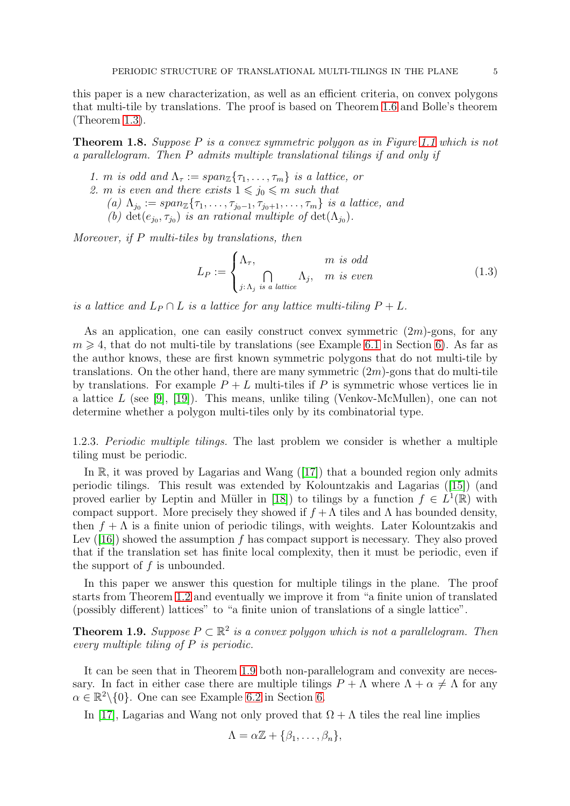this paper is a new characterization, as well as an efficient criteria, on convex polygons that multi-tile by translations. The proof is based on Theorem [1.6](#page-3-2) and Bolle's theorem (Theorem [1.3\)](#page-2-2).

<span id="page-4-1"></span>**Theorem 1.8.** Suppose P is a convex symmetric polygon as in Figure [1.1](#page-1-0) which is not a parallelogram. Then P admits multiple translational tilings if and only if

- 1. m is odd and  $\Lambda_{\tau} := span_{\mathbb{Z}}\{\tau_1, \ldots, \tau_m\}$  is a lattice, or
- 2. m is even and there exists  $1 \leq j_0 \leq m$  such that
	- $(a) \Lambda_{j_0} := span_{\mathbb{Z}}\{\tau_1, \ldots, \tau_{j_0-1}, \tau_{j_0+1}, \ldots, \tau_m\}$  is a lattice, and

(b) det $(e_{j_0}, \tau_{j_0})$  is an rational multiple of det $(\Lambda_{j_0})$ .

Moreover, if P multi-tiles by translations, then

<span id="page-4-2"></span>
$$
L_P := \begin{cases} \Lambda_{\tau}, & m \text{ is odd} \\ \int_{j:\Lambda_j \text{ is a lattice}} \Lambda_j, & m \text{ is even} \end{cases}
$$
 (1.3)

is a lattice and  $L_P \cap L$  is a lattice for any lattice multi-tiling  $P + L$ .

As an application, one can easily construct convex symmetric  $(2m)$ -gons, for any  $m \geq 4$ , that do not multi-tile by translations (see Example [6.1](#page-13-0) in Section [6\)](#page-13-1). As far as the author knows, these are first known symmetric polygons that do not multi-tile by translations. On the other hand, there are many symmetric  $(2m)$ -gons that do multi-tile by translations. For example  $P + L$  multi-tiles if P is symmetric whose vertices lie in a lattice L (see [\[9\]](#page-17-4), [\[19\]](#page-17-7)). This means, unlike tiling (Venkov-McMullen), one can not determine whether a polygon multi-tiles only by its combinatorial type.

1.2.3. Periodic multiple tilings. The last problem we consider is whether a multiple tiling must be periodic.

In $\mathbb{R}$ , it was proved by Lagarias and Wang ([\[17\]](#page-17-10)) that a bounded region only admits periodic tilings. This result was extended by Kolountzakis and Lagarias([\[15\]](#page-17-15)) (and proved earlier by Leptin and Müller in [\[18\]](#page-17-16)) to tilings by a function  $f \in L^1(\mathbb{R})$  with compact support. More precisely they showed if  $f + \Lambda$  tiles and  $\Lambda$  has bounded density, then  $f + \Lambda$  is a finite union of periodic tilings, with weights. Later Kolountzakis and Lev $(16)$  showed the assumption f has compact support is necessary. They also proved that if the translation set has finite local complexity, then it must be periodic, even if the support of  $f$  is unbounded.

In this paper we answer this question for multiple tilings in the plane. The proof starts from Theorem [1.2](#page-2-1) and eventually we improve it from "a finite union of translated (possibly different) lattices" to "a finite union of translations of a single lattice".

<span id="page-4-0"></span>**Theorem 1.9.** Suppose  $P \subset \mathbb{R}^2$  is a convex polygon which is not a parallelogram. Then every multiple tiling of P is periodic.

It can be seen that in Theorem [1.9](#page-4-0) both non-parallelogram and convexity are necessary. In fact in either case there are multiple tilings  $P + \Lambda$  where  $\Lambda + \alpha \neq \Lambda$  for any  $\alpha \in \mathbb{R}^2 \setminus \{0\}$ . One can see Example [6.2](#page-14-0) in Section [6.](#page-13-1)

In [\[17\]](#page-17-10), Lagarias and Wang not only proved that  $\Omega + \Lambda$  tiles the real line implies

$$
\Lambda = \alpha \mathbb{Z} + \{\beta_1, \ldots, \beta_n\},\
$$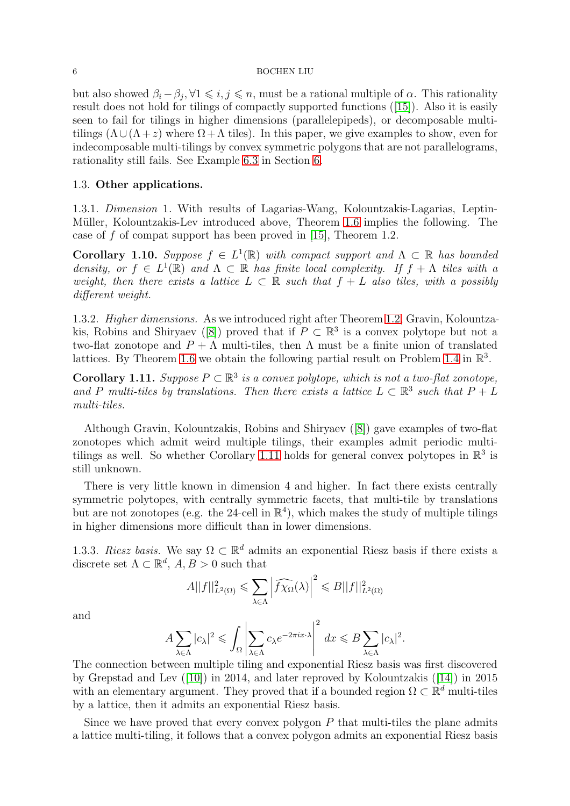but also showed  $\beta_i - \beta_j, \forall 1 \leq i, j \leq n$ , must be a rational multiple of  $\alpha$ . This rationality result does not hold for tilings of compactly supported functions([\[15\]](#page-17-15)). Also it is easily seen to fail for tilings in higher dimensions (parallelepipeds), or decomposable multitilings  $(\Lambda \cup (\Lambda + z)$  where  $\Omega + \Lambda$  tiles). In this paper, we give examples to show, even for indecomposable multi-tilings by convex symmetric polygons that are not parallelograms, rationality still fails. See Example [6.3](#page-15-0) in Section [6.](#page-13-1)

### 1.3. Other applications.

1.3.1. Dimension 1. With results of Lagarias-Wang, Kolountzakis-Lagarias, Leptin-Müller, Kolountzakis-Lev introduced above, Theorem [1.6](#page-3-2) implies the following. The case of f of compat support has been proved in  $[15]$ , Theorem 1.2.

**Corollary 1.10.** Suppose  $f \in L^1(\mathbb{R})$  with compact support and  $\Lambda \subset \mathbb{R}$  has bounded density, or  $f \in L^1(\mathbb{R})$  and  $\Lambda \subset \mathbb{R}$  has finite local complexity. If  $f + \Lambda$  tiles with a weight, then there exists a lattice  $L \subset \mathbb{R}$  such that  $f + L$  also tiles, with a possibly different weight.

1.3.2. Higher dimensions. As we introduced right after Theorem [1.2,](#page-2-1) Gravin, Kolountza-kis,Robins and Shiryaev ([\[8\]](#page-17-6)) proved that if  $P \subset \mathbb{R}^3$  is a convex polytope but not a two-flat zonotope and  $P + \Lambda$  multi-tiles, then  $\Lambda$  must be a finite union of translated lattices. By Theorem [1.6](#page-3-2) we obtain the following partial result on Problem [1.4](#page-2-0) in  $\mathbb{R}^3$ .

<span id="page-5-0"></span>**Corollary 1.11.** Suppose  $P \subset \mathbb{R}^3$  is a convex polytope, which is not a two-flat zonotope, and P multi-tiles by translations. Then there exists a lattice  $L \subset \mathbb{R}^3$  such that  $P + L$ multi-tiles.

Although Gravin, Kolountzakis, Robins and Shiryaev([\[8\]](#page-17-6)) gave examples of two-flat zonotopes which admit weird multiple tilings, their examples admit periodic multi-tilings as well. So whether Corollary [1.11](#page-5-0) holds for general convex polytopes in  $\mathbb{R}^3$  is still unknown.

There is very little known in dimension 4 and higher. In fact there exists centrally symmetric polytopes, with centrally symmetric facets, that multi-tile by translations but are not zonotopes (e.g. the 24-cell in  $\mathbb{R}^4$ ), which makes the study of multiple tilings in higher dimensions more difficult than in lower dimensions.

1.3.3. Riesz basis. We say  $\Omega \subset \mathbb{R}^d$  admits an exponential Riesz basis if there exists a discrete set  $\Lambda \subset \mathbb{R}^d$ ,  $A, B > 0$  such that

$$
A||f||_{L^{2}(\Omega)}^{2} \leqslant \sum_{\lambda \in \Lambda} \left|\widehat{f\chi_{\Omega}}(\lambda)\right|^{2} \leqslant B||f||_{L^{2}(\Omega)}^{2}
$$

and

$$
A\sum_{\lambda\in\Lambda}|c_\lambda|^2\leqslant\int_\Omega\left|\sum_{\lambda\in\Lambda}c_\lambda e^{-2\pi ix\cdot\lambda}\right|^2\,dx\leqslant B\sum_{\lambda\in\Lambda}|c_\lambda|^2.
$$

The connection between multiple tiling and exponential Riesz basis was first discovered by Grepstad and Lev([\[10\]](#page-17-17)) in 2014, and later reproved by Kolountzakis([\[14\]](#page-17-18)) in 2015 with an elementary argument. They proved that if a bounded region  $\Omega \subset \mathbb{R}^d$  multi-tiles by a lattice, then it admits an exponential Riesz basis.

Since we have proved that every convex polygon  $P$  that multi-tiles the plane admits a lattice multi-tiling, it follows that a convex polygon admits an exponential Riesz basis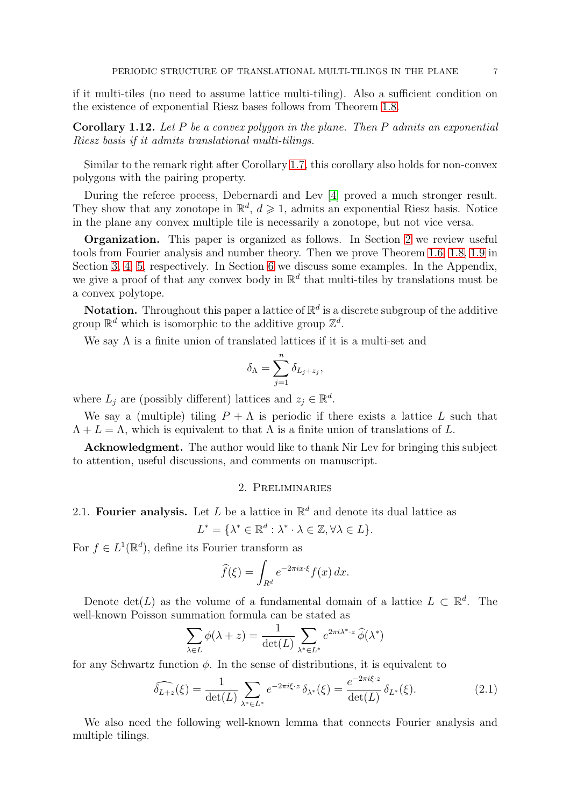if it multi-tiles (no need to assume lattice multi-tiling). Also a sufficient condition on the existence of exponential Riesz bases follows from Theorem [1.8.](#page-4-1)

**Corollary 1.12.** Let P be a convex polygon in the plane. Then P admits an exponential Riesz basis if it admits translational multi-tilings.

Similar to the remark right after Corollary [1.7,](#page-3-1) this corollary also holds for non-convex polygons with the pairing property.

During the referee process, Debernardi and Lev [\[4\]](#page-16-4) proved a much stronger result. They show that any zonotope in  $\mathbb{R}^d$ ,  $d \geq 1$ , admits an exponential Riesz basis. Notice in the plane any convex multiple tile is necessarily a zonotope, but not vice versa.

Organization. This paper is organized as follows. In Section [2](#page-6-0) we review useful tools from Fourier analysis and number theory. Then we prove Theorem [1.6,](#page-3-2) [1.8,](#page-4-1) [1.9](#page-4-0) in Section [3,](#page-8-0) [4,](#page-9-0) [5,](#page-12-0) respectively. In Section [6](#page-13-1) we discuss some examples. In the Appendix, we give a proof of that any convex body in  $\mathbb{R}^d$  that multi-tiles by translations must be a convex polytope.

**Notation.** Throughout this paper a lattice of  $\mathbb{R}^d$  is a discrete subgroup of the additive group  $\mathbb{R}^d$  which is isomorphic to the additive group  $\mathbb{Z}^d$ .

We say  $\Lambda$  is a finite union of translated lattices if it is a multi-set and

$$
\delta_{\Lambda} = \sum_{j=1}^{n} \delta_{L_j + z_j},
$$

where  $L_j$  are (possibly different) lattices and  $z_j \in \mathbb{R}^d$ .

We say a (multiple) tiling  $P + \Lambda$  is periodic if there exists a lattice L such that  $\Lambda + L = \Lambda$ , which is equivalent to that  $\Lambda$  is a finite union of translations of L.

<span id="page-6-0"></span>Acknowledgment. The author would like to thank Nir Lev for bringing this subject to attention, useful discussions, and comments on manuscript.

## 2. Preliminaries

2.1. Fourier analysis. Let L be a lattice in  $\mathbb{R}^d$  and denote its dual lattice as

$$
L^* = \{ \lambda^* \in \mathbb{R}^d : \lambda^* \cdot \lambda \in \mathbb{Z}, \forall \lambda \in L \}.
$$

For  $f \in L^1(\mathbb{R}^d)$ , define its Fourier transform as

$$
\widehat{f}(\xi) = \int_{R^d} e^{-2\pi ix \cdot \xi} f(x) \, dx.
$$

Denote  $\det(L)$  as the volume of a fundamental domain of a lattice  $L \subset \mathbb{R}^d$ . The well-known Poisson summation formula can be stated as

$$
\sum_{\lambda \in L} \phi(\lambda + z) = \frac{1}{\det(L)} \sum_{\lambda^* \in L^*} e^{2\pi i \lambda^* \cdot z} \widehat{\phi}(\lambda^*)
$$

for any Schwartz function  $\phi$ . In the sense of distributions, it is equivalent to

<span id="page-6-1"></span>
$$
\widehat{\delta_{L+z}}(\xi) = \frac{1}{\det(L)} \sum_{\lambda^* \in L^*} e^{-2\pi i \xi \cdot z} \, \delta_{\lambda^*}(\xi) = \frac{e^{-2\pi i \xi \cdot z}}{\det(L)} \, \delta_{L^*}(\xi). \tag{2.1}
$$

We also need the following well-known lemma that connects Fourier analysis and multiple tilings.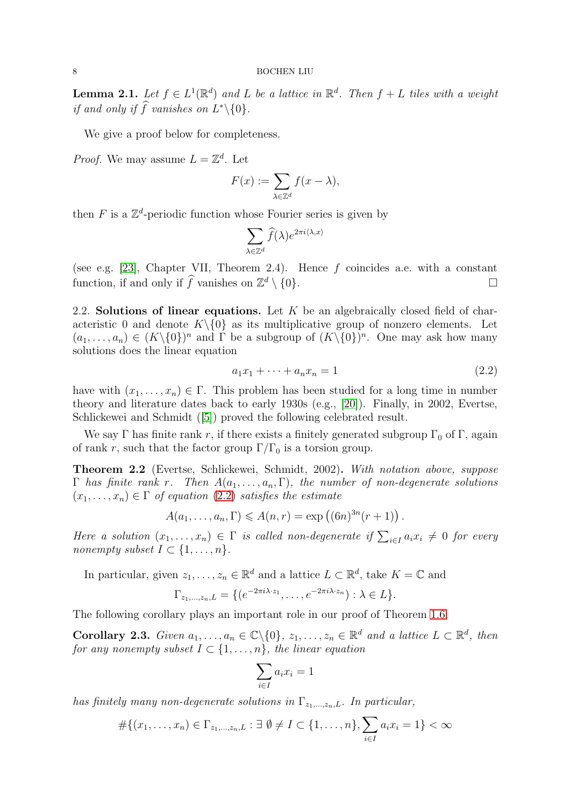<span id="page-7-1"></span>**Lemma 2.1.** Let  $f \in L^1(\mathbb{R}^d)$  and L be a lattice in  $\mathbb{R}^d$ . Then  $f + L$  tiles with a weight if and only if  $\hat{f}$  vanishes on  $L^*\backslash\{0\}$ .

We give a proof below for completeness.

*Proof.* We may assume  $L = \mathbb{Z}^d$ . Let

$$
F(x) := \sum_{\lambda \in \mathbb{Z}^d} f(x - \lambda),
$$

then  $F$  is a  $\mathbb{Z}^d$ -periodic function whose Fourier series is given by

$$
\sum_{\lambda\in\mathbb{Z}^d}\widehat{f}(\lambda)e^{2\pi i\langle\lambda,x\rangle}
$$

(see e.g. [\[23\]](#page-17-19), Chapter VII, Theorem 2.4). Hence f coincides a.e. with a constant function, if and only if  $\hat{f}$  vanishes on  $\mathbb{Z}^d \setminus \{0\}$ .

2.2. Solutions of linear equations. Let  $K$  be an algebraically closed field of characteristic 0 and denote  $K\setminus\{0\}$  as its multiplicative group of nonzero elements. Let  $(a_1, \ldots, a_n) \in (K \setminus \{0\})^n$  and  $\Gamma$  be a subgroup of  $(K \setminus \{0\})^n$ . One may ask how many solutions does the linear equation

<span id="page-7-0"></span>
$$
a_1 x_1 + \dots + a_n x_n = 1 \tag{2.2}
$$

have with  $(x_1, \ldots, x_n) \in \Gamma$ . This problem has been studied for a long time in number theory and literature dates back to early 1930s (e.g., [\[20\]](#page-17-20)). Finally, in 2002, Evertse, Schlickewei and Schmidt([\[5\]](#page-16-5)) proved the following celebrated result.

We say Γ has finite rank r, if there exists a finitely generated subgroup  $\Gamma_0$  of Γ, again of rank r, such that the factor group  $\Gamma/\Gamma_0$  is a torsion group.

Theorem 2.2 (Evertse, Schlickewei, Schmidt, 2002). With notation above, suppose  $\Gamma$  has finite rank r. Then  $A(a_1, \ldots, a_n, \Gamma)$ , the number of non-degenerate solutions  $(x_1, \ldots, x_n) \in \Gamma$  of equation [\(2.2\)](#page-7-0) satisfies the estimate

$$
A(a_1,\ldots,a_n,\Gamma)\leqslant A(n,r)=\exp\left((6n)^{3n}(r+1)\right).
$$

Here a solution  $(x_1, \ldots, x_n) \in \Gamma$  is called non-degenerate if  $\sum_{i \in I} a_i x_i \neq 0$  for every nonempty subset  $I \subset \{1, \ldots, n\}.$ 

In particular, given  $z_1, \ldots, z_n \in \mathbb{R}^d$  and a lattice  $L \subset \mathbb{R}^d$ , take  $K = \mathbb{C}$  and

$$
\Gamma_{z_1,\ldots,z_n,L} = \{ (e^{-2\pi i \lambda \cdot z_1}, \ldots, e^{-2\pi i \lambda \cdot z_n}) : \lambda \in L \}.
$$

The following corollary plays an important role in our proof of Theorem [1.6.](#page-3-2)

<span id="page-7-2"></span>**Corollary 2.3.** Given  $a_1, \ldots, a_n \in \mathbb{C} \setminus \{0\}, z_1, \ldots, z_n \in \mathbb{R}^d$  and a lattice  $L \subset \mathbb{R}^d$ , then for any nonempty subset  $I \subset \{1, \ldots, n\}$ , the linear equation

$$
\sum_{i\in I} a_i x_i = 1
$$

has finitely many non-degenerate solutions in  $\Gamma_{z_1,\dots,z_n,L}$ . In particular,

$$
#\{(x_1,\ldots,x_n) \in \Gamma_{z_1,\ldots,z_n,L} : \exists \emptyset \neq I \subset \{1,\ldots,n\}, \sum_{i \in I} a_i x_i = 1\} < \infty
$$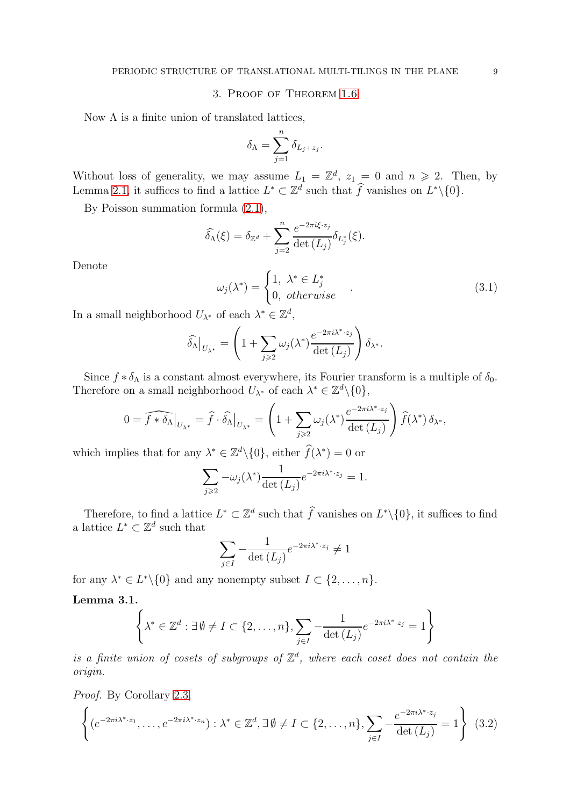#### 3. Proof of Theorem [1.6](#page-3-2)

<span id="page-8-0"></span>Now  $\Lambda$  is a finite union of translated lattices,

$$
\delta_\Lambda = \sum_{j=1}^n \delta_{L_j + z_j}.
$$

Without loss of generality, we may assume  $L_1 = \mathbb{Z}^d$ ,  $z_1 = 0$  and  $n \ge 2$ . Then, by Lemma [2.1,](#page-7-1) it suffices to find a lattice  $L^* \subset \mathbb{Z}^d$  such that  $\hat{f}$  vanishes on  $L^* \setminus \{0\}$ .

By Poisson summation formula [\(2.1\)](#page-6-1),

$$
\widehat{\delta}_{\Lambda}(\xi) = \delta_{\mathbb{Z}^d} + \sum_{j=2}^n \frac{e^{-2\pi i \xi \cdot z_j}}{\det(L_j)} \delta_{L_j^*}(\xi).
$$

Denote

$$
\omega_j(\lambda^*) = \begin{cases} 1, & \lambda^* \in L_j^* \\ 0, & otherwise \end{cases} . \tag{3.1}
$$

In a small neighborhood  $U_{\lambda^*}$  of each  $\lambda^* \in \mathbb{Z}^d$ ,

$$
\widehat{\delta_\Lambda}\big|_{U_{\lambda^*}} = \left(1 + \sum_{j\geqslant 2} \omega_j(\lambda^*) \frac{e^{-2\pi i \lambda^*\cdot z_j}}{\det\left(L_j\right)}\right) \delta_{\lambda^*}.
$$

Since  $f * \delta_{\Lambda}$  is a constant almost everywhere, its Fourier transform is a multiple of  $\delta_0$ . Therefore on a small neighborhood  $U_{\lambda^*}$  of each  $\lambda^* \in \mathbb{Z}^d \setminus \{0\},$ 

$$
0 = \widehat{f * \delta_{\Lambda}}|_{U_{\lambda^*}} = \widehat{f} \cdot \widehat{\delta_{\Lambda}}|_{U_{\lambda^*}} = \left(1 + \sum_{j \geq 2} \omega_j(\lambda^*) \frac{e^{-2\pi i \lambda^* \cdot z_j}}{\det(L_j)}\right) \widehat{f}(\lambda^*) \, \delta_{\lambda^*},
$$

which implies that for any  $\lambda^* \in \mathbb{Z}^d \setminus \{0\}$ , either  $\widehat{f}(\lambda^*) = 0$  or

$$
\sum_{j\geqslant 2} -\omega_j(\lambda^*) \frac{1}{\det(L_j)} e^{-2\pi i \lambda^* \cdot z_j} = 1.
$$

Therefore, to find a lattice  $L^* \subset \mathbb{Z}^d$  such that  $\hat{f}$  vanishes on  $L^* \setminus \{0\}$ , it suffices to find a lattice  $L^* \subset \mathbb{Z}^d$  such that

$$
\sum_{j\in I} -\frac{1}{\det\left(L_j\right)} e^{-2\pi i \lambda^* \cdot z_j} \neq 1
$$

for any  $\lambda^* \in L^* \setminus \{0\}$  and any nonempty subset  $I \subset \{2, \ldots, n\}.$ 

Lemma 3.1.

$$
\left\{ \lambda^* \in \mathbb{Z}^d : \exists \emptyset \neq I \subset \{2, \dots, n\}, \sum_{j \in I} -\frac{1}{\det(L_j)} e^{-2\pi i \lambda^* \cdot z_j} = 1 \right\}
$$

is a finite union of cosets of subgroups of  $\mathbb{Z}^d$ , where each coset does not contain the origin.

Proof. By Corollary [2.3,](#page-7-2)

$$
\left\{ (e^{-2\pi i \lambda^* \cdot z_1}, \dots, e^{-2\pi i \lambda^* \cdot z_n}) : \lambda^* \in \mathbb{Z}^d, \exists \emptyset \neq I \subset \{2, \dots, n\}, \sum_{j \in I} -\frac{e^{-2\pi i \lambda^* \cdot z_j}}{\det(L_j)} = 1 \right\}
$$
(3.2)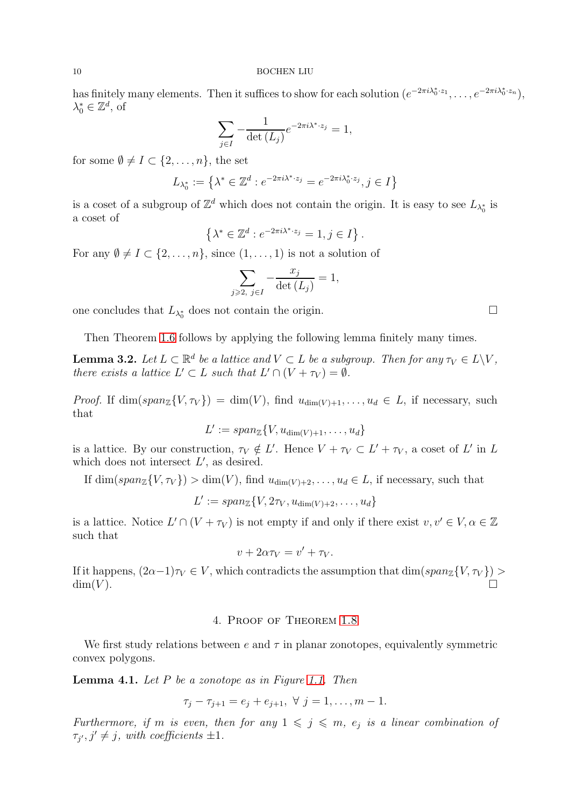has finitely many elements. Then it suffices to show for each solution  $(e^{-2\pi i \lambda_0^* \cdot z_1}, \ldots, e^{-2\pi i \lambda_0^* \cdot z_n})$ ,  $\lambda_0^* \in \mathbb{Z}^d$ , of

$$
\sum_{j\in I} -\frac{1}{\det\left(L_j\right)} e^{-2\pi i \lambda^* \cdot z_j} = 1,
$$

for some  $\emptyset \neq I \subset \{2,\ldots,n\}$ , the set

$$
L_{\lambda_0^*}:=\left\{\lambda^*\in\mathbb{Z}^d: e^{-2\pi i \lambda^*\cdot {z}_j}=e^{-2\pi i \lambda_0^*\cdot {z}_j}, j\in I\right\}
$$

is a coset of a subgroup of  $\mathbb{Z}^d$  which does not contain the origin. It is easy to see  $L_{\lambda_0^*}$  is a coset of

$$
\left\{\lambda^* \in \mathbb{Z}^d : e^{-2\pi i \lambda^* \cdot z_j} = 1, j \in I\right\}.
$$

For any  $\emptyset \neq I \subset \{2,\ldots,n\}$ , since  $(1,\ldots,1)$  is not a solution of

$$
\sum_{j\geqslant 2,\ j\in I}-\frac{x_j}{\det{(L_j)}}=1,
$$

one concludes that  $L_{\lambda_0^*}$  does not contain the origin.

Then Theorem [1.6](#page-3-2) follows by applying the following lemma finitely many times.

**Lemma 3.2.** Let  $L \subset \mathbb{R}^d$  be a lattice and  $V \subset L$  be a subgroup. Then for any  $\tau_V \in L \backslash V$ , there exists a lattice  $L' \subset L$  such that  $L' \cap (V + \tau_V) = \emptyset$ .

*Proof.* If  $\dim(\text{span}_{\mathbb{Z}}\{V, \tau_V\}) = \dim(V)$ , find  $u_{\dim(V)+1}, \ldots, u_d \in L$ , if necessary, such that

$$
L' := span_{\mathbb{Z}}\{V, u_{\dim(V)+1}, \dots, u_d\}
$$

is a lattice. By our construction,  $\tau_V \notin L'$ . Hence  $V + \tau_V \subset L' + \tau_V$ , a coset of L' in L which does not intersect  $L'$ , as desired.

If  $\dim(span_{\mathbb{Z}}\{V, \tau_V\}) > \dim(V)$ , find  $u_{\dim(V)+2}, \ldots, u_d \in L$ , if necessary, such that

$$
L' := span_{\mathbb{Z}}\{V, 2\tau_V, u_{\dim(V)+2}, \dots, u_d\}
$$

is a lattice. Notice  $L' \cap (V + \tau_V)$  is not empty if and only if there exist  $v, v' \in V, \alpha \in \mathbb{Z}$ such that

$$
v + 2\alpha \tau_V = v' + \tau_V.
$$

<span id="page-9-0"></span>If it happens,  $(2\alpha-1)\tau_V \in V$ , which contradicts the assumption that  $\dim(span_{\mathbb{Z}}\{V,\tau_V\}) >$  $\dim(V)$ .

### 4. Proof of Theorem [1.8](#page-4-1)

We first study relations between  $e$  and  $\tau$  in planar zonotopes, equivalently symmetric convex polygons.

<span id="page-9-1"></span>**Lemma 4.1.** Let  $P$  be a zonotope as in Figure [1.1.](#page-1-0) Then

$$
\tau_j - \tau_{j+1} = e_j + e_{j+1}, \ \forall \ j = 1, \dots, m-1.
$$

Furthermore, if m is even, then for any  $1 \leqslant j \leqslant m$ ,  $e_j$  is a linear combination of  $\tau_{j'}, j' \neq j$ , with coefficients  $\pm 1$ .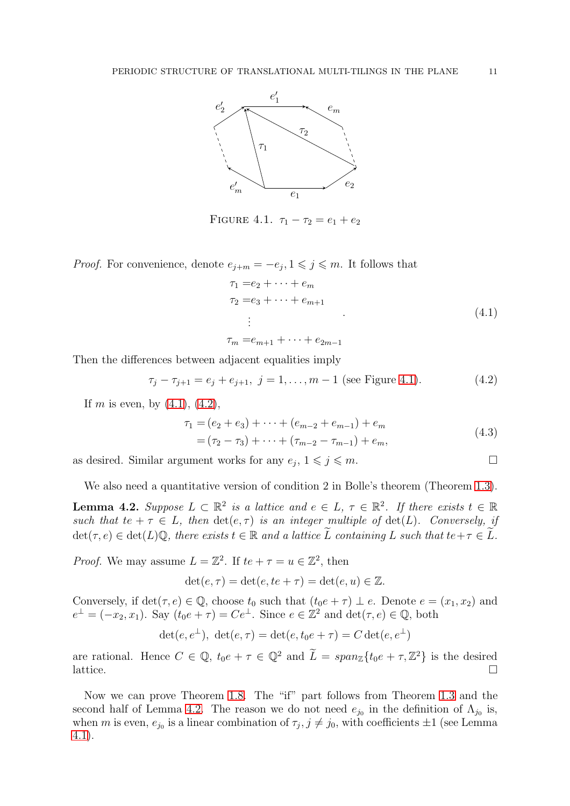<span id="page-10-0"></span>

FIGURE 4.1.  $\tau_1 - \tau_2 = e_1 + e_2$ 

*Proof.* For convenience, denote  $e_{j+m} = -e_j, 1 \leq j \leq m$ . It follows that

<span id="page-10-1"></span>
$$
\tau_1 = e_2 + \dots + e_m
$$
  
\n
$$
\tau_2 = e_3 + \dots + e_{m+1}
$$
  
\n
$$
\vdots
$$
  
\n
$$
\tau_m = e_{m+1} + \dots + e_{2m-1}
$$
  
\n(4.1)

Then the differences between adjacent equalities imply

<span id="page-10-2"></span>
$$
\tau_j - \tau_{j+1} = e_j + e_{j+1}, \ j = 1, \dots, m-1 \text{ (see Figure 4.1).}
$$
 (4.2)

If m is even, by  $(4.1)$ ,  $(4.2)$ ,

$$
\tau_1 = (e_2 + e_3) + \dots + (e_{m-2} + e_{m-1}) + e_m
$$
  
=  $(\tau_2 - \tau_3) + \dots + (\tau_{m-2} - \tau_{m-1}) + e_m,$  (4.3)

as desired. Similar argument works for any  $e_j$ ,  $1 \leqslant j \leqslant m$ .

We also need a quantitative version of condition 2 in Bolle's theorem (Theorem [1.3\)](#page-2-2).

<span id="page-10-3"></span>**Lemma 4.2.** Suppose  $L \subset \mathbb{R}^2$  is a lattice and  $e \in L$ ,  $\tau \in \mathbb{R}^2$ . If there exists  $t \in \mathbb{R}$ such that te +  $\tau \in L$ , then  $\det(e, \tau)$  is an integer multiple of  $\det(L)$ . Conversely, if  $\det(\tau, e) \in \det(L)\mathbb{Q}$ , there exists  $t \in \mathbb{R}$  and a lattice  $\widetilde{L}$  containing L such that  $te + \tau \in \widetilde{L}$ .

*Proof.* We may assume  $L = \mathbb{Z}^2$ . If  $te + \tau = u \in \mathbb{Z}^2$ , then

$$
\det(e, \tau) = \det(e, te + \tau) = \det(e, u) \in \mathbb{Z}.
$$

Conversely, if  $\det(\tau, e) \in \mathbb{Q}$ , choose  $t_0$  such that  $(t_0e + \tau) \perp e$ . Denote  $e = (x_1, x_2)$  and  $e^{\perp} = (-x_2, x_1)$ . Say  $(t_0e + \tau) = Ce^{\perp}$ . Since  $e \in \mathbb{Z}^2$  and  $\det(\tau, e) \in \mathbb{Q}$ , both

$$
\det(e, e^{\perp}), \ \det(e, \tau) = \det(e, t_0 e + \tau) = C \det(e, e^{\perp})
$$

are rational. Hence  $C \in \mathbb{Q}$ ,  $t_0e + \tau \in \mathbb{Q}^2$  and  $\tilde{L} = span_{\mathbb{Z}}\{t_0e + \tau,\mathbb{Z}^2\}$  is the desired lattice.

Now we can prove Theorem [1.8.](#page-4-1) The "if" part follows from Theorem [1.3](#page-2-2) and the second half of Lemma [4.2.](#page-10-3) The reason we do not need  $e_{j_0}$  in the definition of  $\Lambda_{j_0}$  is, when m is even,  $e_{j_0}$  is a linear combination of  $\tau_j$ ,  $j \neq j_0$ , with coefficients  $\pm 1$  (see Lemma [4.1\)](#page-9-1).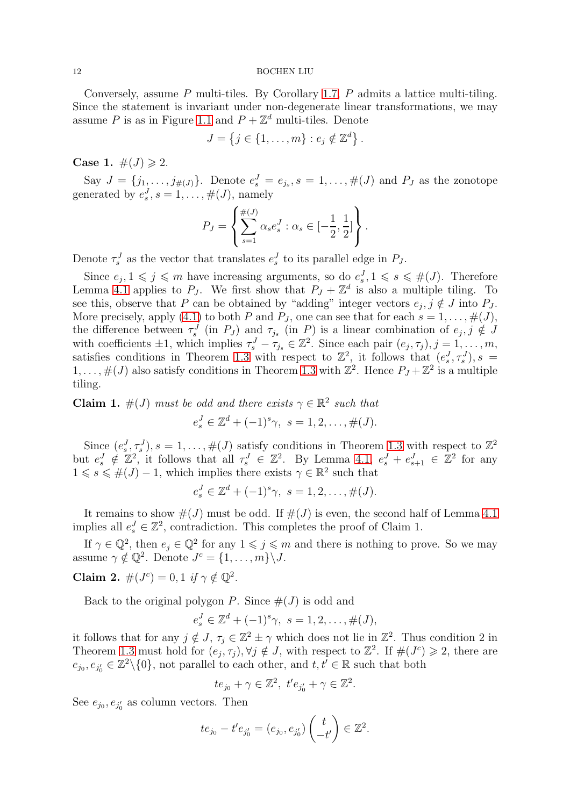Conversely, assume  $P$  multi-tiles. By Corollary [1.7,](#page-3-1)  $P$  admits a lattice multi-tiling. Since the statement is invariant under non-degenerate linear transformations, we may assume P is as in Figure [1.1](#page-1-0) and  $P + \mathbb{Z}^d$  multi-tiles. Denote

$$
J = \left\{ j \in \{1, \ldots, m\} : e_j \notin \mathbb{Z}^d \right\}.
$$

**Case 1.**  $\#(J) \ge 2$ .

Say  $J = \{j_1, \ldots, j_{\#(J)}\}$ . Denote  $e_s^J = e_{j_s}, s = 1, \ldots, \#(J)$  and  $P_J$  as the zonotope generated by  $e_s^J$ ,  $s = 1, \ldots, \#(J)$ , namely

$$
P_J = \left\{ \sum_{s=1}^{\#(J)} \alpha_s e_s^J : \alpha_s \in [-\frac{1}{2}, \frac{1}{2}] \right\}.
$$

Denote  $\tau_s^J$  as the vector that translates  $e_s^J$  to its parallel edge in  $P_J$ .

Since  $e_j, 1 \leq j \leq m$  have increasing arguments, so do  $e_s^J, 1 \leq s \leq \#(J)$ . Therefore Lemma [4.1](#page-9-1) applies to  $P_J$ . We first show that  $P_J + \mathbb{Z}^d$  is also a multiple tiling. To see this, observe that P can be obtained by "adding" integer vectors  $e_j, j \notin J$  into  $P_J$ . More precisely, apply [\(4.1\)](#page-10-1) to both P and P<sub>J</sub>, one can see that for each  $s = 1, \ldots, \#(J)$ , the difference between  $\tau_s^J$  (in  $P_J$ ) and  $\tau_{j_s}$  (in P) is a linear combination of  $e_j, j \notin J$ with coefficients  $\pm 1$ , which implies  $\tau_s^J - \tau_{j_s} \in \mathbb{Z}^2$ . Since each pair  $(e_j, \tau_j)$ ,  $j = 1, \ldots, m$ , satisfies conditions in Theorem [1.3](#page-2-2) with respect to  $\mathbb{Z}^2$ , it follows that  $(e_s^J, \tau_s^J)$ ,  $s =$  $1, \ldots, \#(J)$  also satisfy conditions in Theorem [1.3](#page-2-2) with  $\mathbb{Z}^2$ . Hence  $P_J + \mathbb{Z}^2$  is a multiple tiling.

**Claim 1.**  $\#(J)$  must be odd and there exists  $\gamma \in \mathbb{R}^2$  such that  $e_s^J \in \mathbb{Z}^d + (-1)^s \gamma, \ s = 1, 2, \ldots, \#(J).$ 

Since  $(e_s^J, \tau_s^J), s = 1, \ldots, \#(J)$  satisfy conditions in Theorem [1.3](#page-2-2) with respect to  $\mathbb{Z}^2$ but  $e_s^J \notin \mathbb{Z}^2$ , it follows that all  $\tau_s^J \in \mathbb{Z}^2$ . By Lemma [4.1,](#page-9-1)  $e_s^J + e_{s+1}^J \in \mathbb{Z}^2$  for any  $1 \leq s \leq \#(J) - 1$ , which implies there exists  $\gamma \in \mathbb{R}^2$  such that

$$
e_s^J \in \mathbb{Z}^d + (-1)^s \gamma, \ s = 1, 2, \dots, \#(J).
$$

It remains to show  $\#(J)$  must be odd. If  $\#(J)$  is even, the second half of Lemma [4.1](#page-9-1) implies all  $e_s^J \in \mathbb{Z}^2$ , contradiction. This completes the proof of Claim 1.

If  $\gamma \in \mathbb{Q}^2$ , then  $e_j \in \mathbb{Q}^2$  for any  $1 \leqslant j \leqslant m$  and there is nothing to prove. So we may assume  $\gamma \notin \mathbb{Q}^2$ . Denote  $J^c = \{1, \ldots, m\} \backslash J$ .

Claim 2.  $\#(J^c) = 0, 1 \text{ if } \gamma \notin \mathbb{Q}^2$ .

Back to the original polygon P. Since  $#(J)$  is odd and

$$
e_s^J \in \mathbb{Z}^d + (-1)^s \gamma, \ s = 1, 2, \dots, \#(J),
$$

it follows that for any  $j \notin J$ ,  $\tau_j \in \mathbb{Z}^2 \pm \gamma$  which does not lie in  $\mathbb{Z}^2$ . Thus condition 2 in Theorem [1.3](#page-2-2) must hold for  $(e_j, \tau_j)$ ,  $\forall j \notin J$ , with respect to  $\mathbb{Z}^2$ . If  $\#(J^c) \geq 2$ , there are  $e_{j_0}, e_{j'_0} \in \mathbb{Z}^2 \setminus \{0\}$ , not parallel to each other, and  $t, t' \in \mathbb{R}$  such that both

$$
te_{j_0} + \gamma \in \mathbb{Z}^2, t'e_{j'_0} + \gamma \in \mathbb{Z}^2
$$

.

See  $e_{j_0}, e_{j'_0}$  as column vectors. Then

$$
te_{j_0} - t'e_{j'_0} = (e_{j_0}, e_{j'_0})\begin{pmatrix} t \\ -t' \end{pmatrix} \in \mathbb{Z}^2.
$$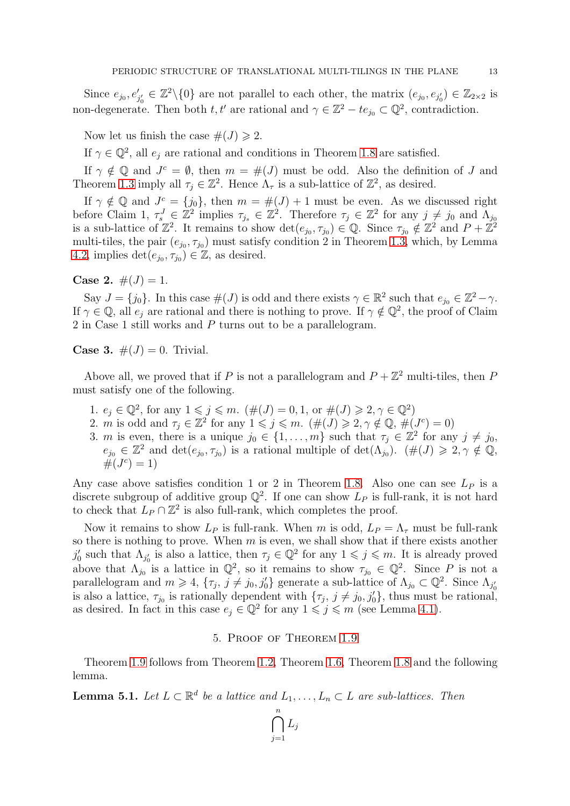Since  $e_{j_0}, e'_{j'_0} \in \mathbb{Z}^2 \setminus \{0\}$  are not parallel to each other, the matrix  $(e_{j_0}, e_{j'_0}) \in \mathbb{Z}_{2 \times 2}$  is non-degenerate. Then both  $t, t'$  are rational and  $\gamma \in \mathbb{Z}^2 - te_{j_0} \subset \mathbb{Q}^2$ , contradiction.

Now let us finish the case  $\#(J) \geq 2$ .

If  $\gamma \in \mathbb{Q}^2$ , all  $e_j$  are rational and conditions in Theorem [1.8](#page-4-1) are satisfied.

If  $\gamma \notin \mathbb{Q}$  and  $J^c = \emptyset$ , then  $m = \#(J)$  must be odd. Also the definition of J and Theorem [1.3](#page-2-2) imply all  $\tau_j \in \mathbb{Z}^2$ . Hence  $\Lambda_{\tau}$  is a sub-lattice of  $\mathbb{Z}^2$ , as desired.

If  $\gamma \notin \mathbb{Q}$  and  $J^c = \{j_0\}$ , then  $m = \#(J) + 1$  must be even. As we discussed right before Claim 1,  $\tau_s^J \in \mathbb{Z}^2$  implies  $\tau_{j_s} \in \mathbb{Z}^2$ . Therefore  $\tau_j \in \mathbb{Z}^2$  for any  $j \neq j_0$  and  $\Lambda_{j_0}$ is a sub-lattice of  $\mathbb{Z}^2$ . It remains to show  $\det(e_{j_0}, \tau_{j_0}) \in \mathbb{Q}$ . Since  $\tau_{j_0} \notin \mathbb{Z}^2$  and  $P + \mathbb{Z}^2$ multi-tiles, the pair  $(e_{j_0}, \tau_{j_0})$  must satisfy condition 2 in Theorem [1.3,](#page-2-2) which, by Lemma [4.2,](#page-10-3) implies  $\det(e_{j_0}, \tau_{j_0}) \in \mathbb{Z}$ , as desired.

**Case 2.**  $\#(J) = 1$ .

Say  $J = \{j_0\}$ . In this case  $\#(J)$  is odd and there exists  $\gamma \in \mathbb{R}^2$  such that  $e_{j_0} \in \mathbb{Z}^2 - \gamma$ . If  $\gamma \in \mathbb{Q}$ , all  $e_j$  are rational and there is nothing to prove. If  $\gamma \notin \mathbb{Q}^2$ , the proof of Claim 2 in Case 1 still works and P turns out to be a parallelogram.

**Case 3.**  $\#(J) = 0$ . Trivial.

Above all, we proved that if P is not a parallelogram and  $P + \mathbb{Z}^2$  multi-tiles, then P must satisfy one of the following.

- 1.  $e_j \in \mathbb{Q}^2$ , for any  $1 \leq j \leq m$ .  $(\#(J) = 0, 1, \text{ or } \#(J) \geq 2, \gamma \in \mathbb{Q}^2)$
- 2. *m* is odd and  $\tau_j \in \mathbb{Z}^2$  for any  $1 \leq j \leq m$ . ( $\#(J) \geq 2, \gamma \notin \mathbb{Q}$ ,  $\#(J^c) = 0$ )
- 3. *m* is even, there is a unique  $j_0 \in \{1, ..., m\}$  such that  $\tau_j \in \mathbb{Z}^2$  for any  $j \neq j_0$ ,  $e_{j_0} \in \mathbb{Z}^2$  and  $\det(e_{j_0}, \tau_{j_0})$  is a rational multiple of  $\det(\Lambda_{j_0})$ .  $(\#(J) \geq 2, \gamma \notin \mathbb{Q},$  $#(J^c) = 1)$

Any case above satisfies condition 1 or 2 in Theorem [1.8.](#page-4-1) Also one can see  $L<sub>P</sub>$  is a discrete subgroup of additive group  $\mathbb{Q}^2$ . If one can show  $L_P$  is full-rank, it is not hard to check that  $L_P \cap \mathbb{Z}^2$  is also full-rank, which completes the proof.

Now it remains to show  $L_P$  is full-rank. When m is odd,  $L_P = \Lambda_{\tau}$  must be full-rank so there is nothing to prove. When  $m$  is even, we shall show that if there exists another  $j'_0$  such that  $\Lambda_{j'_0}$  is also a lattice, then  $\tau_j \in \mathbb{Q}^2$  for any  $1 \leqslant j \leqslant m$ . It is already proved above that  $\Lambda_{j_0}$  is a lattice in  $\mathbb{Q}^2$ , so it remains to show  $\tau_{j_0} \in \mathbb{Q}^2$ . Since P is not a parallelogram and  $m \geq 4$ ,  $\{\tau_j, j \neq j_0, j'_0\}$  generate a sub-lattice of  $\Lambda_{j_0} \subset \mathbb{Q}^2$ . Since  $\Lambda_{j'_0}$ is also a lattice,  $\tau_{j_0}$  is rationally dependent with  $\{\tau_j, j \neq j_0, j'_0\}$ , thus must be rational, as desired. In fact in this case  $e_j \in \mathbb{Q}^2$  for any  $1 \leq j \leq m$  (see Lemma [4.1\)](#page-9-1).

## 5. Proof of Theorem [1.9](#page-4-0)

<span id="page-12-0"></span>Theorem [1.9](#page-4-0) follows from Theorem [1.2,](#page-2-1) Theorem [1.6,](#page-3-2) Theorem [1.8](#page-4-1) and the following lemma.

<span id="page-12-1"></span>**Lemma 5.1.** Let  $L \subset \mathbb{R}^d$  be a lattice and  $L_1, \ldots, L_n \subset L$  are sub-lattices. Then

 $\bigcap^n$  $j=1$  $L_j$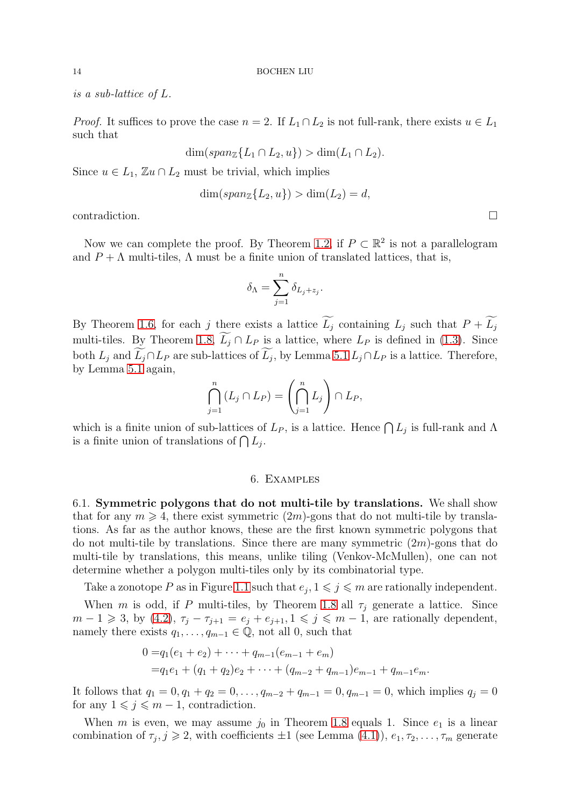is a sub-lattice of L.

*Proof.* It suffices to prove the case  $n = 2$ . If  $L_1 \cap L_2$  is not full-rank, there exists  $u \in L_1$ such that

$$
\dim(span_{\mathbb{Z}}\{L_1 \cap L_2, u\}) > \dim(L_1 \cap L_2).
$$

Since  $u \in L_1$ ,  $\mathbb{Z} u \cap L_2$  must be trivial, which implies

$$
\dim(span_{\mathbb{Z}}\{L_2, u\}) > \dim(L_2) = d,
$$

 $\Box$ contradiction.

Now we can complete the proof. By Theorem [1.2,](#page-2-1) if  $P \subset \mathbb{R}^2$  is not a parallelogram and  $P + \Lambda$  multi-tiles,  $\Lambda$  must be a finite union of translated lattices, that is,

$$
\delta_\Lambda=\sum_{j=1}^n\delta_{L_j+{z}_j}.
$$

By Theorem [1.6,](#page-3-2) for each j there exists a lattice  $\widetilde{L_j}$  containing  $L_j$  such that  $P + \widetilde{L_j}$ multi-tiles. By Theorem [1.8,](#page-4-1)  $\widetilde{L_j} \cap L_P$  is a lattice, where  $L_P$  is defined in [\(1.3\)](#page-4-2). Since both  $L_j$  and  $L_j \cap L_P$  are sub-lattices of  $L_j$ , by Lemma [5.1](#page-12-1)  $L_j \cap L_P$  is a lattice. Therefore, by Lemma [5.1](#page-12-1) again,

$$
\bigcap_{j=1}^{n} (L_j \cap L_P) = \left(\bigcap_{j=1}^{n} L_j\right) \cap L_P,
$$

<span id="page-13-1"></span>which is a finite union of sub-lattices of  $L_P$ , is a lattice. Hence  $\bigcap L_j$  is full-rank and  $\Lambda$ is a finite union of translations of  $\bigcap L_j$ .

### 6. Examples

<span id="page-13-0"></span>6.1. Symmetric polygons that do not multi-tile by translations. We shall show that for any  $m \geq 4$ , there exist symmetric  $(2m)$ -gons that do not multi-tile by translations. As far as the author knows, these are the first known symmetric polygons that do not multi-tile by translations. Since there are many symmetric  $(2m)$ -gons that do multi-tile by translations, this means, unlike tiling (Venkov-McMullen), one can not determine whether a polygon multi-tiles only by its combinatorial type.

Take a zonotope P as in Figure [1.1](#page-1-0) such that  $e_j$ ,  $1 \leq j \leq m$  are rationally independent.

When m is odd, if P multi-tiles, by Theorem [1.8](#page-4-1) all  $\tau_i$  generate a lattice. Since  $m-1 \geq 3$ , by  $(4.2)$ ,  $\tau_j - \tau_{j+1} = e_j + e_{j+1}$ ,  $1 \leq j \leq m-1$ , are rationally dependent, namely there exists  $q_1, \ldots, q_{m-1} \in \mathbb{Q}$ , not all 0, such that

$$
0 = q_1(e_1 + e_2) + \dots + q_{m-1}(e_{m-1} + e_m)
$$
  
=  $q_1e_1 + (q_1 + q_2)e_2 + \dots + (q_{m-2} + q_{m-1})e_{m-1} + q_{m-1}e_m$ .

It follows that  $q_1 = 0, q_1 + q_2 = 0, \ldots, q_{m-2} + q_{m-1} = 0, q_{m-1} = 0$ , which implies  $q_j = 0$ for any  $1 \leqslant j \leqslant m - 1$ , contradiction.

When m is even, we may assume  $j_0$  in Theorem [1.8](#page-4-1) equals 1. Since  $e_1$  is a linear combination of  $\tau_j, j \geq 2$ , with coefficients  $\pm 1$  (see Lemma [\(4.1\)](#page-9-1)),  $e_1, \tau_2, \ldots, \tau_m$  generate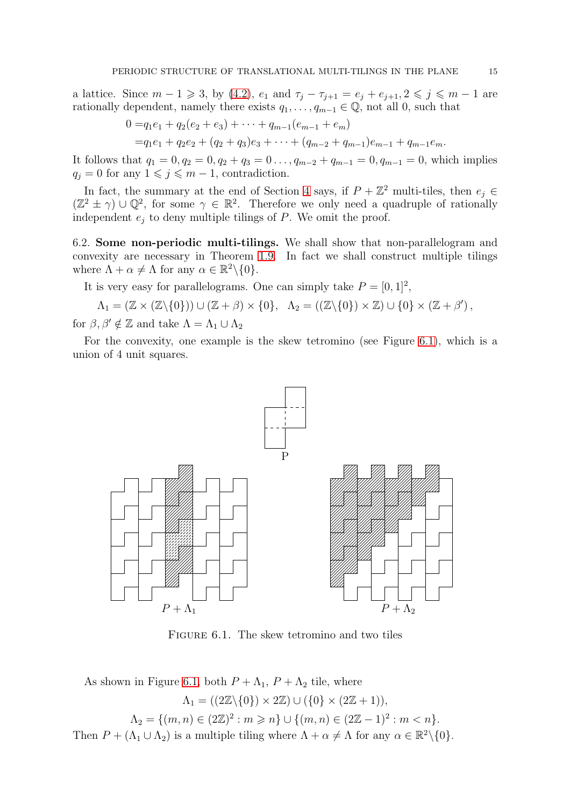a lattice. Since  $m - 1 \ge 3$ , by [\(4.2\)](#page-10-2),  $e_1$  and  $\tau_j - \tau_{j+1} = e_j + e_{j+1}, 2 \le j \le m - 1$  are rationally dependent, namely there exists  $q_1, \ldots, q_{m-1} \in \mathbb{Q}$ , not all 0, such that

$$
0 = q_1e_1 + q_2(e_2 + e_3) + \cdots + q_{m-1}(e_{m-1} + e_m)
$$
  
=  $q_1e_1 + q_2e_2 + (q_2 + q_3)e_3 + \cdots + (q_{m-2} + q_{m-1})e_{m-1} + q_{m-1}e_m$ .

It follows that  $q_1 = 0, q_2 = 0, q_2 + q_3 = 0 \dots, q_{m-2} + q_{m-1} = 0, q_{m-1} = 0$ , which implies  $q_j = 0$  for any  $1 \leq j \leq m - 1$ , contradiction.

In fact, the summary at the end of Section [4](#page-9-0) says, if  $P + \mathbb{Z}^2$  multi-tiles, then  $e_j \in$  $(\mathbb{Z}^2 \pm \gamma) \cup \mathbb{Q}^2$ , for some  $\gamma \in \mathbb{R}^2$ . Therefore we only need a quadruple of rationally independent  $e_j$  to deny multiple tilings of  $P$ . We omit the proof.

<span id="page-14-0"></span>6.2. Some non-periodic multi-tilings. We shall show that non-parallelogram and convexity are necessary in Theorem [1.9.](#page-4-0) In fact we shall construct multiple tilings where  $\Lambda + \alpha \neq \Lambda$  for any  $\alpha \in \mathbb{R}^2 \setminus \{0\}.$ 

It is very easy for parallelograms. One can simply take  $P = [0, 1]^2$ ,

 $\Lambda_1 = (\mathbb{Z} \times (\mathbb{Z} \backslash \{0\})) \cup (\mathbb{Z} + \beta) \times \{0\}, \quad \Lambda_2 = ((\mathbb{Z} \backslash \{0\}) \times \mathbb{Z}) \cup \{0\} \times (\mathbb{Z} + \beta'),$ for  $\beta, \beta' \notin \mathbb{Z}$  and take  $\Lambda = \Lambda_1 \cup \Lambda_2$ 

For the convexity, one example is the skew tetromino (see Figure [6.1\)](#page-14-1), which is a union of 4 unit squares.

<span id="page-14-1"></span>

Figure 6.1. The skew tetromino and two tiles

As shown in Figure [6.1,](#page-14-1) both  $P + \Lambda_1$ ,  $P + \Lambda_2$  tile, where  $\Lambda_1 = ((2\mathbb{Z}\backslash \{0\}) \times 2\mathbb{Z}) \cup (\{0\} \times (2\mathbb{Z} + 1)),$  $\Lambda_2 = \{(m, n) \in (2\mathbb{Z})^2 : m \geq n\} \cup \{(m, n) \in (2\mathbb{Z} - 1)^2 : m < n\}.$ Then  $P + (\Lambda_1 \cup \Lambda_2)$  is a multiple tiling where  $\Lambda + \alpha \neq \Lambda$  for any  $\alpha \in \mathbb{R}^2 \setminus \{0\}.$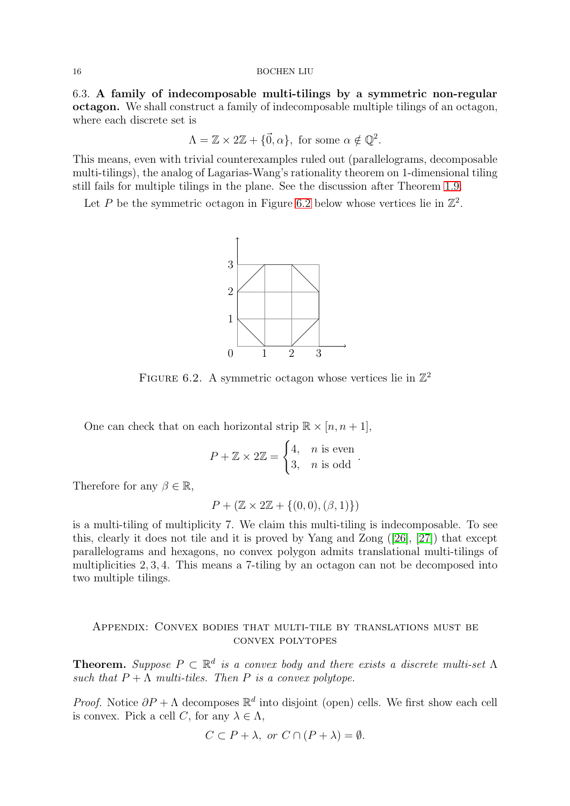<span id="page-15-0"></span>6.3. A family of indecomposable multi-tilings by a symmetric non-regular octagon. We shall construct a family of indecomposable multiple tilings of an octagon, where each discrete set is

$$
\Lambda = \mathbb{Z} \times 2\mathbb{Z} + {\vec{0}, \alpha}, \text{ for some } \alpha \notin \mathbb{Q}^2.
$$

This means, even with trivial counterexamples ruled out (parallelograms, decomposable multi-tilings), the analog of Lagarias-Wang's rationality theorem on 1-dimensional tiling still fails for multiple tilings in the plane. See the discussion after Theorem [1.9.](#page-4-0)

<span id="page-15-1"></span>Let P be the symmetric octagon in Figure [6.2](#page-15-1) below whose vertices lie in  $\mathbb{Z}^2$ .



FIGURE 6.2. A symmetric octagon whose vertices lie in  $\mathbb{Z}^2$ 

One can check that on each horizontal strip  $\mathbb{R} \times [n, n+1]$ ,

$$
P + \mathbb{Z} \times 2\mathbb{Z} = \begin{cases} 4, & n \text{ is even} \\ 3, & n \text{ is odd} \end{cases}.
$$

Therefore for any  $\beta \in \mathbb{R}$ ,

$$
P + (\mathbb{Z} \times 2\mathbb{Z} + \{(0,0), (\beta, 1)\})
$$

is a multi-tiling of multiplicity 7. We claim this multi-tiling is indecomposable. To see this, clearly it does not tile and it is proved by Yang and Zong([\[26\]](#page-17-21), [\[27\]](#page-17-22)) that except parallelograms and hexagons, no convex polygon admits translational multi-tilings of multiplicities 2, 3, 4. This means a 7-tiling by an octagon can not be decomposed into two multiple tilings.

## Appendix: Convex bodies that multi-tile by translations must be convex polytopes

**Theorem.** Suppose  $P \subset \mathbb{R}^d$  is a convex body and there exists a discrete multi-set  $\Lambda$ such that  $P + \overline{\Lambda}$  multi-tiles. Then P is a convex polytope.

*Proof.* Notice  $\partial P + \Lambda$  decomposes  $\mathbb{R}^d$  into disjoint (open) cells. We first show each cell is convex. Pick a cell C, for any  $\lambda \in \Lambda$ ,

$$
C \subset P + \lambda
$$
, or  $C \cap (P + \lambda) = \emptyset$ .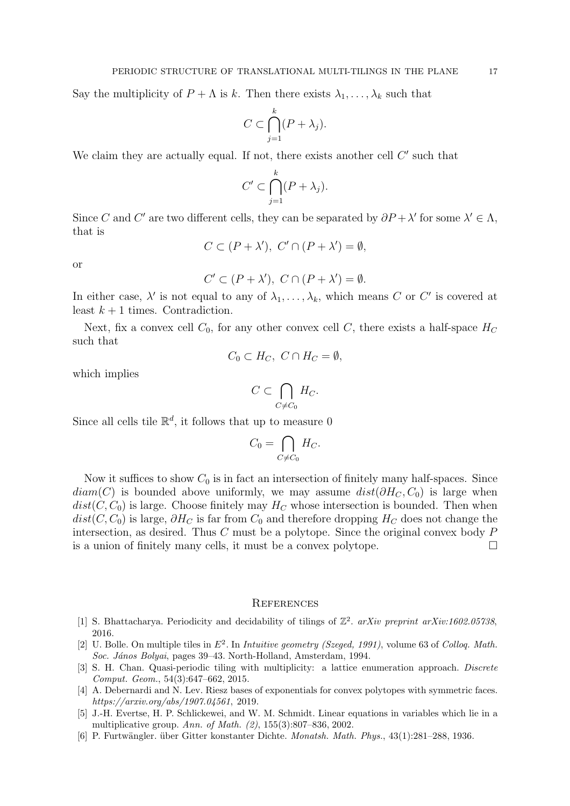Say the multiplicity of  $P + \Lambda$  is k. Then there exists  $\lambda_1, \ldots, \lambda_k$  such that

$$
C \subset \bigcap_{j=1}^k (P + \lambda_j).
$$

We claim they are actually equal. If not, there exists another cell  $C'$  such that

$$
C' \subset \bigcap_{j=1}^k (P + \lambda_j).
$$

Since C and C' are two different cells, they can be separated by  $\partial P + \lambda'$  for some  $\lambda' \in \Lambda$ , that is

$$
C \subset (P + \lambda'), \ C' \cap (P + \lambda') = \emptyset,
$$

or

$$
C' \subset (P + \lambda'), \ C \cap (P + \lambda') = \emptyset.
$$

In either case,  $\lambda'$  is not equal to any of  $\lambda_1, \ldots, \lambda_k$ , which means C or C' is covered at least  $k+1$  times. Contradiction.

Next, fix a convex cell  $C_0$ , for any other convex cell C, there exists a half-space  $H_C$ such that

$$
C_0 \subset H_C, \ C \cap H_C = \emptyset,
$$

which implies

$$
C\subset \bigcap_{C\neq C_0} H_C.
$$

Since all cells tile  $\mathbb{R}^d$ , it follows that up to measure 0

$$
C_0 = \bigcap_{C \neq C_0} H_C.
$$

Now it suffices to show  $C_0$  is in fact an intersection of finitely many half-spaces. Since  $diam(C)$  is bounded above uniformly, we may assume  $dist(\partial H_C, C_0)$  is large when  $dist(C, C_0)$  is large. Choose finitely may  $H_C$  whose intersection is bounded. Then when  $dist(C, C_0)$  is large,  $\partial H_C$  is far from  $C_0$  and therefore dropping  $H_C$  does not change the intersection, as desired. Thus  $C$  must be a polytope. Since the original convex body  $P$ is a union of finitely many cells, it must be a convex polytope.

### **REFERENCES**

- <span id="page-16-2"></span>[1] S. Bhattacharya. Periodicity and decidability of tilings of Z 2 . *arXiv preprint arXiv:1602.05738*, 2016.
- <span id="page-16-1"></span>[2] U. Bolle. On multiple tiles in E<sup>2</sup> . In *Intuitive geometry (Szeged, 1991)*, volume 63 of *Colloq. Math. Soc. J´anos Bolyai*, pages 39–43. North-Holland, Amsterdam, 1994.
- <span id="page-16-3"></span>[3] S. H. Chan. Quasi-periodic tiling with multiplicity: a lattice enumeration approach. *Discrete Comput. Geom.*, 54(3):647–662, 2015.
- <span id="page-16-4"></span>[4] A. Debernardi and N. Lev. Riesz bases of exponentials for convex polytopes with symmetric faces. *https://arxiv.org/abs/1907.04561*, 2019.
- <span id="page-16-5"></span>[5] J.-H. Evertse, H. P. Schlickewei, and W. M. Schmidt. Linear equations in variables which lie in a multiplicative group. *Ann. of Math. (2)*, 155(3):807–836, 2002.
- <span id="page-16-0"></span>[6] P. Furtw¨angler. ¨uber Gitter konstanter Dichte. *Monatsh. Math. Phys.*, 43(1):281–288, 1936.